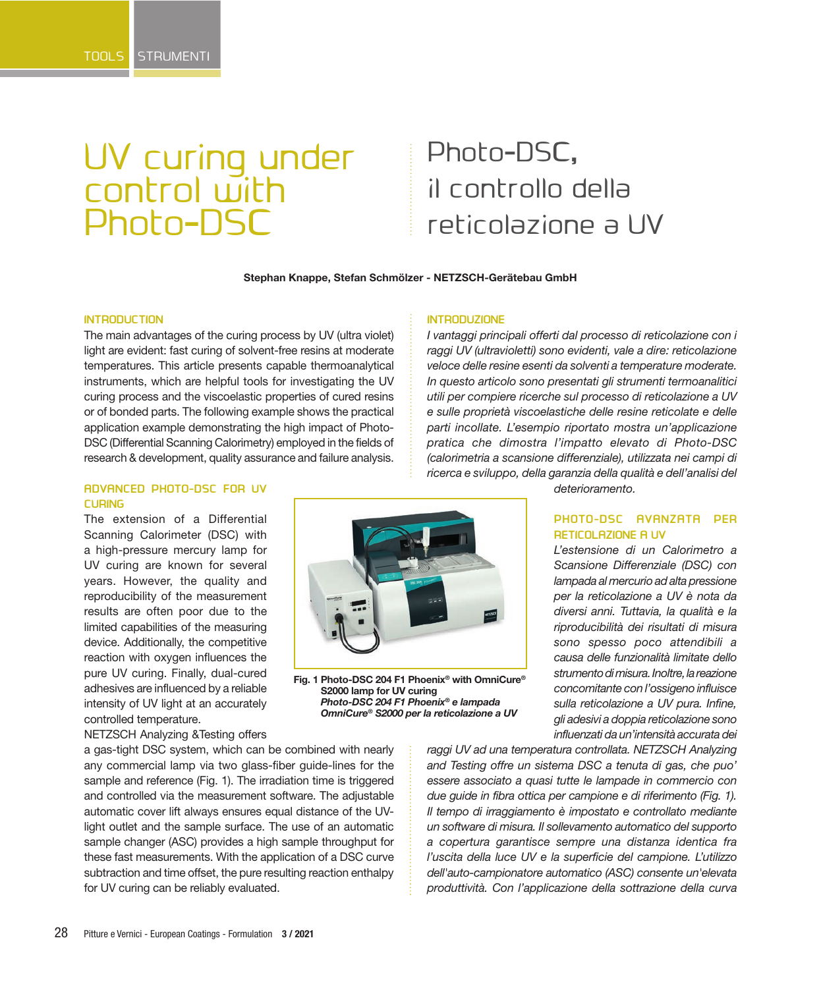# UV curing under control with Photo-DSC

# Photo-DSC, il controllo della reticolazione a UV

#### **Stephan Knappe, Stefan Schmölzer - NETZSCH-Gerätebau GmbH**

**INTRODUZIONE**

### **INTRODUCTION**

The main advantages of the curing process by UV (ultra violet) light are evident: fast curing of solvent-free resins at moderate temperatures. This article presents capable thermoanalytical instruments, which are helpful tools for investigating the UV curing process and the viscoelastic properties of cured resins or of bonded parts. The following example shows the practical application example demonstrating the high impact of Photo-DSC (Differential Scanning Calorimetry) employed in the fields of research & development, quality assurance and failure analysis.

## **ADVANCED PHOTO-DSC FOR UV CURING**

The extension of a Differential Scanning Calorimeter (DSC) with a high-pressure mercury lamp for UV curing are known for several years. However, the quality and reproducibility of the measurement results are often poor due to the limited capabilities of the measuring device. Additionally, the competitive reaction with oxygen influences the pure UV curing. Finally, dual-cured adhesives are influenced by a reliable intensity of UV light at an accurately controlled temperature.

NETZSCH Analyzing &Testing offers



**Fig. 1 Photo-DSC 204 F1 Phoenix® with OmniCure® S2000 lamp for UV curing** *Photo-DSC 204 F1 Phoenix® e lampada OmniCure® S2000 per la reticolazione a UV* 

*deterioramento.*

*I vantaggi principali offerti dal processo di reticolazione con i raggi UV (ultravioletti) sono evidenti, vale a dire: reticolazione veloce delle resine esenti da solventi a temperature moderate. In questo articolo sono presentati gli strumenti termoanalitici utili per compiere ricerche sul processo di reticolazione a UV e sulle proprietà viscoelastiche delle resine reticolate e delle parti incollate. L'esempio riportato mostra un'applicazione pratica che dimostra l'impatto elevato di Photo-DSC (calorimetria a scansione differenziale), utilizzata nei campi di ricerca e sviluppo, della garanzia della qualità e dell'analisi del* 

# **PHOTO-DSC AVANZATA PER RETICOLAZIONE A UV**

*L'estensione di un Calorimetro a Scansione Differenziale (DSC) con lampada al mercurio ad alta pressione per la reticolazione a UV è nota da diversi anni. Tuttavia, la qualità e la riproducibilità dei risultati di misura sono spesso poco attendibili a causa delle funzionalità limitate dello strumento di misura. Inoltre, la reazione concomitante con l'ossigeno influisce sulla reticolazione a UV pura. Infine, gli adesivi a doppia reticolazione sono influenzati da un'intensità accurata dei* 

a gas-tight DSC system, which can be combined with nearly any commercial lamp via two glass-fiber guide-lines for the sample and reference (Fig. 1). The irradiation time is triggered and controlled via the measurement software. The adjustable automatic cover lift always ensures equal distance of the UVlight outlet and the sample surface. The use of an automatic sample changer (ASC) provides a high sample throughput for these fast measurements. With the application of a DSC curve subtraction and time offset, the pure resulting reaction enthalpy for UV curing can be reliably evaluated.

*raggi UV ad una temperatura controllata. NETZSCH Analyzing and Testing offre un sistema DSC a tenuta di gas, che puo' essere associato a quasi tutte le lampade in commercio con due guide in fibra ottica per campione e di riferimento (Fig. 1). Il tempo di irraggiamento è impostato e controllato mediante un software di misura. Il sollevamento automatico del supporto a copertura garantisce sempre una distanza identica fra l'uscita della luce UV e la superficie del campione. L'utilizzo dell'auto-campionatore automatico (ASC) consente un'elevata produttività. Con l'applicazione della sottrazione della curva*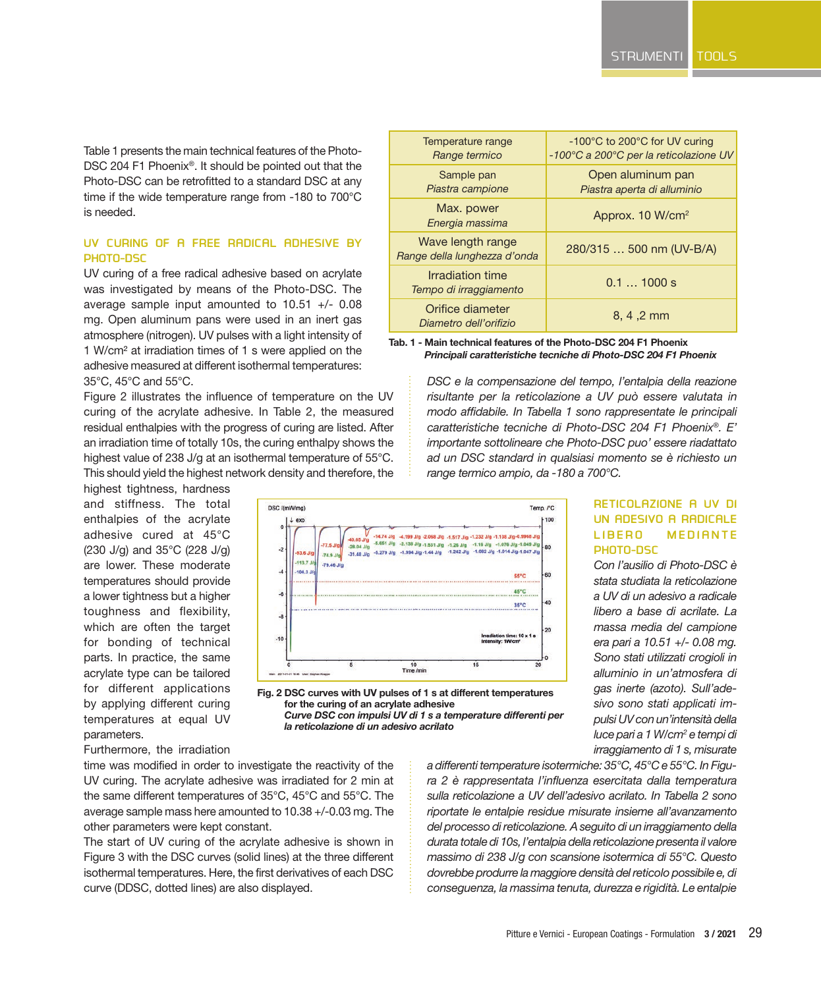Table 1 presents the main technical features of the Photo-DSC 204 F1 Phoenix*®*. It should be pointed out that the Photo-DSC can be retrofitted to a standard DSC at any time if the wide temperature range from -180 to 700°C is needed.

# **UV CURING OF A FREE RADICAL ADHESIVE BY PHOTO-DSC**

UV curing of a free radical adhesive based on acrylate was investigated by means of the Photo-DSC. The average sample input amounted to 10.51 +/- 0.08 mg. Open aluminum pans were used in an inert gas atmosphere (nitrogen). UV pulses with a light intensity of 1 W/cm² at irradiation times of 1 s were applied on the adhesive measured at different isothermal temperatures: 35°C, 45°C and 55°C.

Figure 2 illustrates the influence of temperature on the UV curing of the acrylate adhesive. In Table 2, the measured residual enthalpies with the progress of curing are listed. After an irradiation time of totally 10s, the curing enthalpy shows the highest value of 238 J/g at an isothermal temperature of 55°C. This should yield the highest network density and therefore, the

highest tightness, hardness and stiffness. The total enthalpies of the acrylate adhesive cured at 45°C (230 J/g) and 35°C (228 J/g) are lower. These moderate temperatures should provide a lower tightness but a higher toughness and flexibility, which are often the target for bonding of technical parts. In practice, the same acrylate type can be tailored for different applications by applying different curing temperatures at equal UV parameters.

| Temperature range<br>Range termico                | -100°C to 200°C for UV curing<br>-100°C a 200°C per la reticolazione UV |
|---------------------------------------------------|-------------------------------------------------------------------------|
| Sample pan<br>Piastra campione                    | Open aluminum pan<br>Piastra aperta di alluminio                        |
| Max. power<br>Energia massima                     | Approx. 10 W/cm <sup>2</sup>                                            |
| Wave length range<br>Range della lunghezza d'onda | 280/315  500 nm (UV-B/A)                                                |
| Irradiation time<br>Tempo di irraggiamento        | $0.1$ 1000 s                                                            |
| Orifice diameter<br>Diametro dell'orifizio        | 8, 4, 2 mm                                                              |

**Tab. 1 - Main technical features of the Photo-DSC 204 F1 Phoenix** *Principali caratteristiche tecniche di Photo-DSC 204 F1 Phoenix*

> *DSC e la compensazione del tempo, l'entalpia della reazione risultante per la reticolazione a UV può essere valutata in modo affidabile. In Tabella 1 sono rappresentate le principali caratteristiche tecniche di Photo-DSC 204 F1 Phoenix®. E' importante sottolineare che Photo-DSC puo' essere riadattato ad un DSC standard in qualsiasi momento se è richiesto un range termico ampio, da -180 a 700°C.*



**Fig. 2 DSC curves with UV pulses of 1 s at different temperatures for the curing of an acrylate adhesive** *Curve DSC con impulsi UV di 1 s a temperature differenti per la reticolazione di un adesivo acrilato*

# **RETICOLAZIONE A UV DI UN ADESIVO A RADICALE LIBERO MEDIANTE PHOTO-DSC**

*Con l'ausilio di Photo-DSC è stata studiata la reticolazione a UV di un adesivo a radicale libero a base di acrilate. La massa media del campione era pari a 10.51 +/- 0.08 mg. Sono stati utilizzati crogioli in alluminio in un'atmosfera di gas inerte (azoto). Sull'adesivo sono stati applicati impulsi UV con un'intensità della luce pari a 1 W/cm2 e tempi di irraggiamento di 1 s, misurate* 

Furthermore, the irradiation

time was modified in order to investigate the reactivity of the UV curing. The acrylate adhesive was irradiated for 2 min at the same different temperatures of 35°C, 45°C and 55°C. The average sample mass here amounted to 10.38 +/-0.03 mg. The other parameters were kept constant.

The start of UV curing of the acrylate adhesive is shown in Figure 3 with the DSC curves (solid lines) at the three different isothermal temperatures. Here, the first derivatives of each DSC curve (DDSC, dotted lines) are also displayed.

*a differenti temperature isotermiche: 35°C, 45°C e 55°C. In Figura 2 è rappresentata l'influenza esercitata dalla temperatura sulla reticolazione a UV dell'adesivo acrilato. In Tabella 2 sono riportate le entalpie residue misurate insieme all'avanzamento del processo di reticolazione. A seguito di un irraggiamento della durata totale di 10s, l'entalpia della reticolazione presenta il valore massimo di 238 J/g con scansione isotermica di 55°C. Questo dovrebbe produrre la maggiore densità del reticolo possibile e, di conseguenza, la massima tenuta, durezza e rigidità. Le entalpie*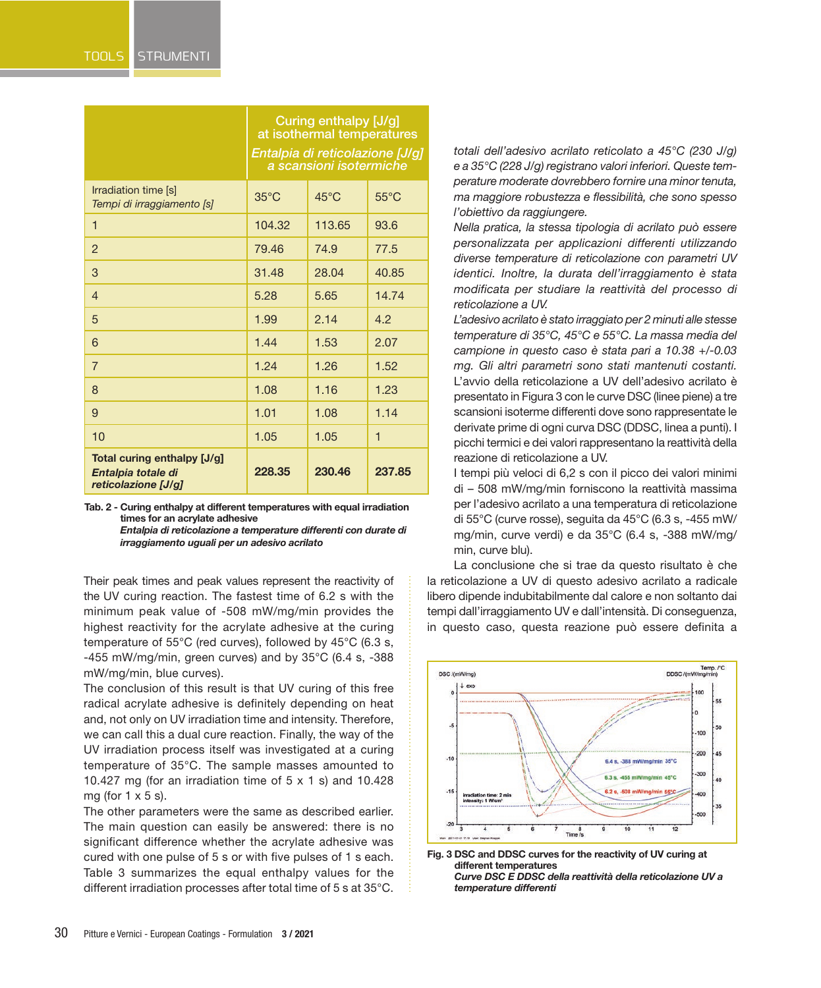|                                                                          | Curing enthalpy [J/g]<br>at isothermal temperatures<br>Entalpia di reticolazione [J/g]<br>a scansioni isotermiche |                |                |
|--------------------------------------------------------------------------|-------------------------------------------------------------------------------------------------------------------|----------------|----------------|
| Irradiation time [s]<br>Tempi di irraggiamento [s]                       | $35^{\circ}$ C                                                                                                    | $45^{\circ}$ C | $55^{\circ}$ C |
| $\mathbf 1$                                                              | 104.32                                                                                                            | 113.65         | 93.6           |
| $\overline{2}$                                                           | 79.46                                                                                                             | 74.9           | 77.5           |
| 3                                                                        | 31.48                                                                                                             | 28.04          | 40.85          |
| $\overline{4}$                                                           | 5.28                                                                                                              | 5.65           | 14.74          |
| 5                                                                        | 1.99                                                                                                              | 2.14           | 4.2            |
| 6                                                                        | 1.44                                                                                                              | 1.53           | 2.07           |
| $\overline{7}$                                                           | 1.24                                                                                                              | 1.26           | 1.52           |
| 8                                                                        | 1.08                                                                                                              | 1.16           | 1.23           |
| 9                                                                        | 1.01                                                                                                              | 1.08           | 1.14           |
| 10                                                                       | 1.05                                                                                                              | 1.05           | 1              |
| Total curing enthalpy [J/g]<br>Entalpia totale di<br>reticolazione [J/g] | 228.35                                                                                                            | 230.46         | 237.85         |

**Tab. 2 - Curing enthalpy at different temperatures with equal irradiation times for an acrylate adhesive**

> *Entalpia di reticolazione a temperature differenti con durate di irraggiamento uguali per un adesivo acrilato*

Their peak times and peak values represent the reactivity of the UV curing reaction. The fastest time of 6.2 s with the minimum peak value of -508 mW/mg/min provides the highest reactivity for the acrylate adhesive at the curing temperature of 55°C (red curves), followed by 45°C (6.3 s, -455 mW/mg/min, green curves) and by  $35^{\circ}$ C (6.4 s, -388 mW/mg/min, blue curves).

The conclusion of this result is that UV curing of this free radical acrylate adhesive is definitely depending on heat and, not only on UV irradiation time and intensity. Therefore, we can call this a dual cure reaction. Finally, the way of the UV irradiation process itself was investigated at a curing temperature of 35°C. The sample masses amounted to 10.427 mg (for an irradiation time of  $5 \times 1$  s) and 10.428 mg (for  $1 \times 5$  s).

The other parameters were the same as described earlier. The main question can easily be answered: there is no significant difference whether the acrylate adhesive was cured with one pulse of 5 s or with five pulses of 1 s each. Table 3 summarizes the equal enthalpy values for the different irradiation processes after total time of 5 s at 35°C.

*totali dell'adesivo acrilato reticolato a 45°C (230 J/g) e a 35°C (228 J/g) registrano valori inferiori. Queste temperature moderate dovrebbero fornire una minor tenuta, ma maggiore robustezza e flessibilità, che sono spesso l'obiettivo da raggiungere.*

*Nella pratica, la stessa tipologia di acrilato può essere personalizzata per applicazioni differenti utilizzando diverse temperature di reticolazione con parametri UV identici. Inoltre, la durata dell'irraggiamento è stata modificata per studiare la reattività del processo di reticolazione a UV.*

*L'adesivo acrilato è stato irraggiato per 2 minuti alle stesse temperature di 35°C, 45°C e 55°C. La massa media del campione in questo caso è stata pari a 10.38 +/-0.03 mg. Gli altri parametri sono stati mantenuti costanti.*  L'avvio della reticolazione a UV dell'adesivo acrilato è presentato in Figura 3 con le curve DSC (linee piene) a tre scansioni isoterme differenti dove sono rappresentate le derivate prime di ogni curva DSC (DDSC, linea a punti). I picchi termici e dei valori rappresentano la reattività della reazione di reticolazione a UV.

I tempi più veloci di 6,2 s con il picco dei valori minimi di – 508 mW/mg/min forniscono la reattività massima per l'adesivo acrilato a una temperatura di reticolazione di 55°C (curve rosse), seguita da 45°C (6.3 s, -455 mW/ mg/min, curve verdi) e da 35°C (6.4 s, -388 mW/mg/ min, curve blu).

La conclusione che si trae da questo risultato è che la reticolazione a UV di questo adesivo acrilato a radicale libero dipende indubitabilmente dal calore e non soltanto dai tempi dall'irraggiamento UV e dall'intensità. Di conseguenza, in questo caso, questa reazione può essere definita a



**Fig. 3 DSC and DDSC curves for the reactivity of UV curing at different temperatures** *Curve DSC E DDSC della reattività della reticolazione UV a temperature differenti*